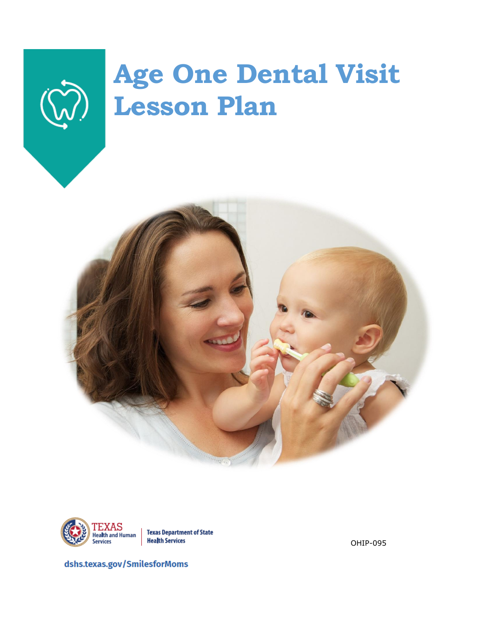



**Health Services** 

OHIP-095

dshs.texas.gov /SmilesforMoms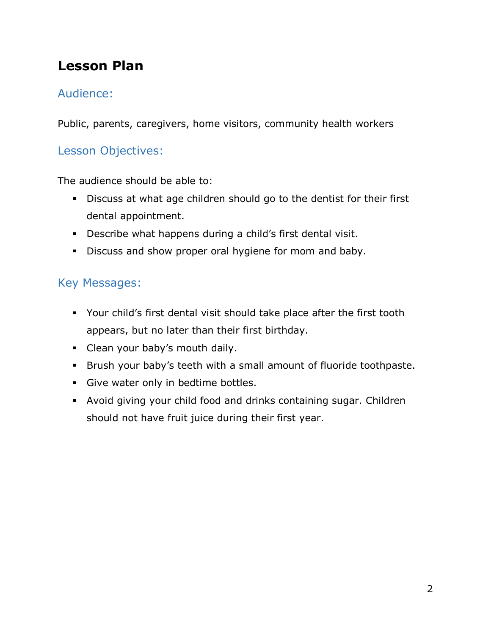# **Lesson Plan**

## Audience:

Public, parents, caregivers, home visitors, community health workers

## Lesson Objectives:

The audience should be able to:

- Discuss at what age children should go to the dentist for their first dental appointment.
- Describe what happens during a child's first dental visit.
- **•** Discuss and show proper oral hygiene for mom and baby.

## Key Messages:

- Your child's first dental visit should take place after the first tooth appears, but no later than their first birthday.
- Clean your baby's mouth daily.
- Brush your baby's teeth with a small amount of fluoride toothpaste.
- **·** Give water only in bedtime bottles.
- Avoid giving your child food and drinks containing sugar. Children should not have fruit juice during their first year.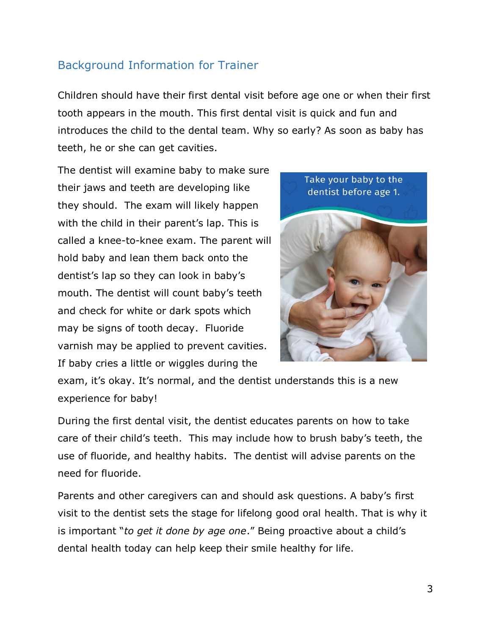## Background Information for Trainer

Children should have their first dental visit before age one or when their first tooth appears in the mouth. This first dental visit is quick and fun and introduces the child to the dental team. Why so early? As soon as baby has teeth, he or she can get cavities.

The dentist will examine baby to make sure their jaws and teeth are developing like they should. The exam will likely happen with the child in their parent's lap. This is called a knee-to-knee exam. The parent will hold baby and lean them back onto the dentist's lap so they can look in baby's mouth. The dentist will count baby's teeth and check for white or dark spots which may be signs of tooth decay. Fluoride varnish may be applied to prevent cavities. If baby cries a little or wiggles during the



exam, it's okay. It's normal, and the dentist understands this is a new experience for baby!

During the first dental visit, the dentist educates parents on how to take care of their child's teeth. This may include how to brush baby's teeth, the use of fluoride, and healthy habits. The dentist will advise parents on the need for fluoride.

Parents and other caregivers can and should ask questions. A baby's first visit to the dentist sets the stage for lifelong good oral health. That is why it is important "*to get it done by age one*." Being proactive about a child's dental health today can help keep their smile healthy for life.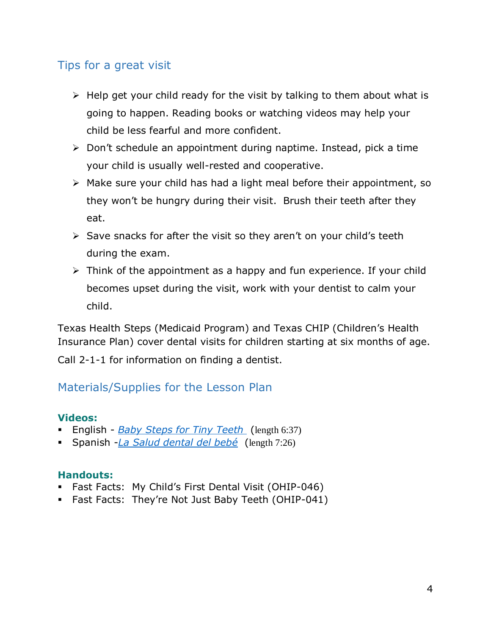## Tips for a great visit

- $\triangleright$  Help get your child ready for the visit by talking to them about what is going to happen. Reading books or watching videos may help your child be less fearful and more confident.
- $\triangleright$  Don't schedule an appointment during naptime. Instead, pick a time your child is usually well-rested and cooperative.
- ➢ Make sure your child has had a light meal before their appointment, so they won't be hungry during their visit. Brush their teeth after they eat.
- $\triangleright$  Save snacks for after the visit so they aren't on your child's teeth during the exam.
- ➢ Think of the appointment as a happy and fun experience. If your child becomes upset during the visit, work with your dentist to calm your child.

Texas Health Steps (Medicaid Program) and Texas CHIP (Children's Health Insurance Plan) cover dental visits for children starting at six months of age.

Call 2-1-1 for information on finding a dentist.

## Materials/Supplies for the Lesson Plan

## **Videos:**

- English *[Baby Steps for Tiny Teeth](https://youtu.be/nyEbrW2oCzw)* (length 6:37)
- Spanish -*[La Salud dental del beb](https://youtu.be/uURvt0UCX5U)é* (length 7:26)

## **Handouts:**

- Fast Facts: My Child's First Dental Visit (OHIP-046)
- Fast Facts: They're Not Just Baby Teeth (OHIP-041)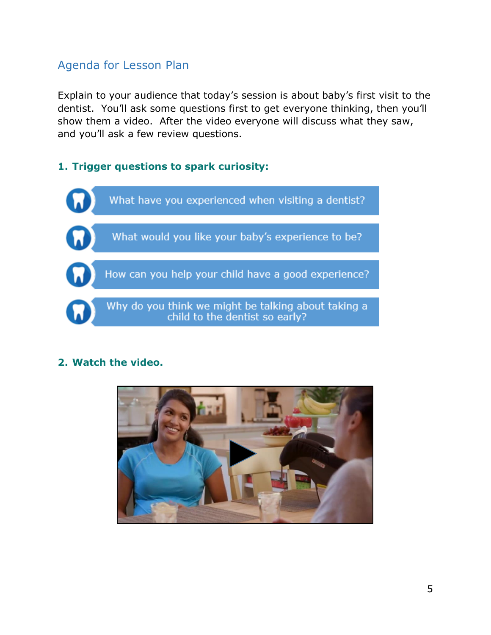## Agenda for Lesson Plan

Explain to your audience that today's session is about baby's first visit to the dentist. You'll ask some questions first to get everyone thinking, then you'll show them a video. After the video everyone will discuss what they saw, and you'll ask a few review questions.

## **1. Trigger questions to spark curiosity:**



## **2. Watch the video.**

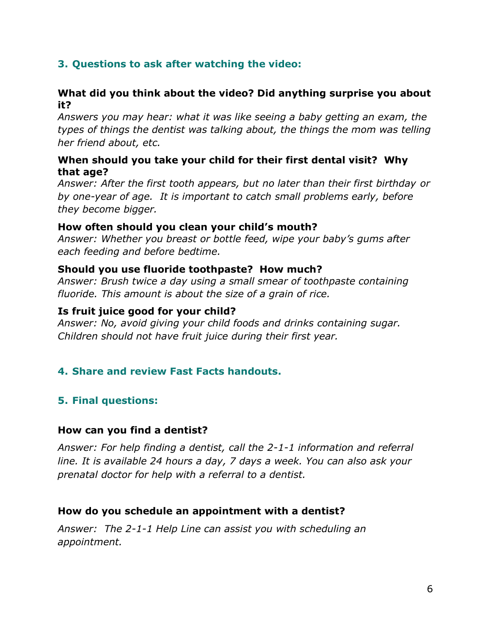## **3. Questions to ask after watching the video:**

### **What did you think about the video? Did anything surprise you about it?**

*Answers you may hear: what it was like seeing a baby getting an exam, the types of things the dentist was talking about, the things the mom was telling her friend about, etc.*

### **When should you take your child for their first dental visit? Why that age?**

*Answer: After the first tooth appears, but no later than their first birthday or by one-year of age. It is important to catch small problems early, before they become bigger.*

#### **How often should you clean your child's mouth?**

*Answer: Whether you breast or bottle feed, wipe your baby's gums after each feeding and before bedtime.*

### **Should you use fluoride toothpaste? How much?**

*Answer: Brush twice a day using a small smear of toothpaste containing fluoride. This amount is about the size of a grain of rice.* 

### **Is fruit juice good for your child?**

*Answer: No, avoid giving your child foods and drinks containing sugar. Children should not have fruit juice during their first year.*

## **4. Share and review Fast Facts handouts.**

## **5. Final questions:**

#### **How can you find a dentist?**

*Answer: For help finding a dentist, call the 2-1-1 information and referral line. It is available 24 hours a day, 7 days a week. You can also ask your prenatal doctor for help with a referral to a dentist.*

## **How do you schedule an appointment with a dentist?**

*Answer: The 2-1-1 Help Line can assist you with scheduling an appointment.*